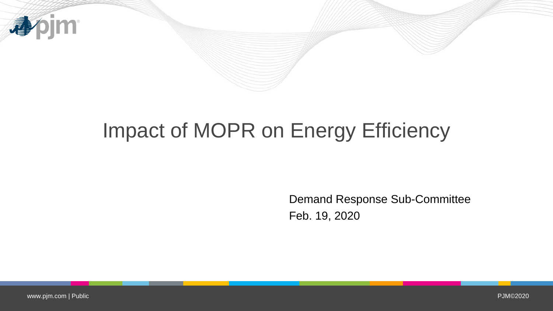

# Impact of MOPR on Energy Efficiency

Demand Response Sub-Committee Feb. 19, 2020

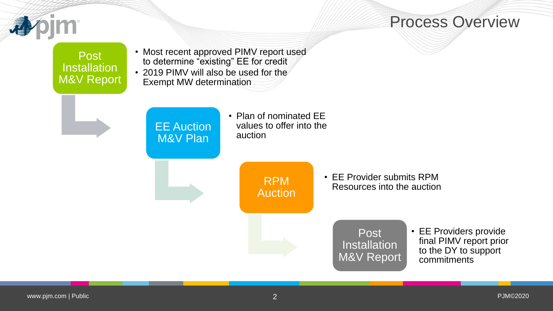

#### Process Overview

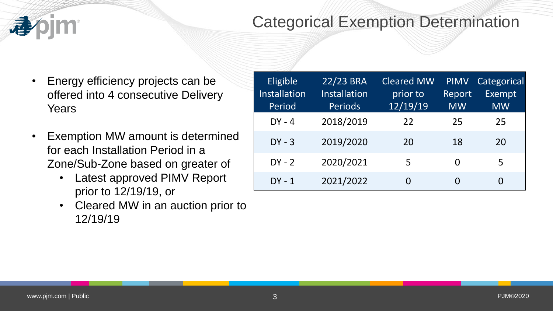#### Categorical Exemption Determination

- Energy efficiency projects can be offered into 4 consecutive Delivery **Years**
- Exemption MW amount is determined for each Installation Period in a Zone/Sub-Zone based on greater of
	- Latest approved PIMV Report prior to 12/19/19, or
	- Cleared MW in an auction prior to 12/19/19

| Eligible<br>Installation<br>Period | 22/23 BRA<br><b>Installation</b><br><b>Periods</b> | <b>Cleared MW</b><br>prior to<br>12/19/19 | <b>PIMV</b><br>Report<br><b>MW</b> | Categorical<br><b>Exempt</b><br><b>MW</b> |
|------------------------------------|----------------------------------------------------|-------------------------------------------|------------------------------------|-------------------------------------------|
| $DY - 4$                           | 2018/2019                                          | 22                                        | 25                                 | 25                                        |
| $DY - 3$                           | 2019/2020                                          | 20                                        | 18                                 | 20                                        |
| $DY - 2$                           | 2020/2021                                          | 5                                         | O                                  | 5                                         |
| $DY - 1$                           | 2021/2022                                          | 0                                         | O                                  | 0                                         |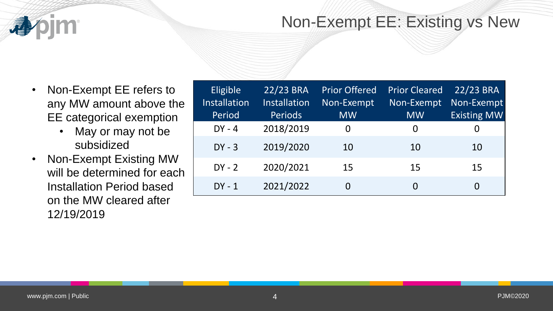

#### Non-Exempt EE: Existing vs New

- Non-Exempt EE refers to any MW amount above the EE categorical exemption
	- May or may not be subsidized
- Non-Exempt Existing MW will be determined for each Installation Period based on the MW cleared after 12/19/2019

| Eligible<br>Installation<br>Period | 22/23 BRA<br><b>Installation</b><br><b>Periods</b> | <b>Prior Offered</b><br>Non-Exempt<br><b>MW</b> | <b>Prior Cleared</b><br>Non-Exempt<br><b>MW</b> | 22/23 BRA<br>Non-Exempt<br><b>Existing MW</b> |
|------------------------------------|----------------------------------------------------|-------------------------------------------------|-------------------------------------------------|-----------------------------------------------|
|                                    |                                                    |                                                 |                                                 |                                               |
| $DY - 4$                           | 2018/2019                                          | 0                                               | O                                               | 0                                             |
| $DY - 3$                           | 2019/2020                                          | 10                                              | 10                                              | 10                                            |
| $DY - 2$                           | 2020/2021                                          | 15                                              | 15                                              | 15                                            |
| $DY - 1$                           | 2021/2022                                          |                                                 |                                                 | 0                                             |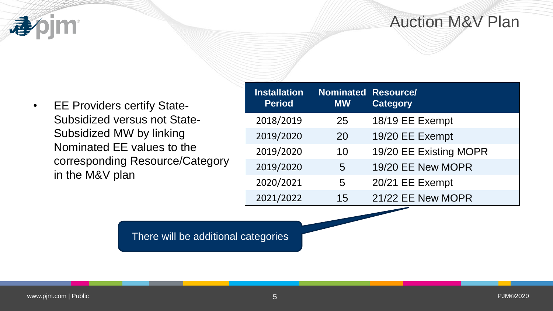## Auction M&V Plan

apjm

| <b>EE Providers certify State-</b>  |
|-------------------------------------|
| <b>Subsidized versus not State-</b> |
| Subsidized MW by linking            |
| Nominated EE values to the          |
| corresponding Resource/Category     |
| in the M&V plan                     |
|                                     |

| <b>Installation</b><br><b>Period</b> | <b>Nominated Resource/</b><br><b>MW</b> | <b>Category</b>        |
|--------------------------------------|-----------------------------------------|------------------------|
| 2018/2019                            | 25                                      | 18/19 EE Exempt        |
| 2019/2020                            | 20                                      | 19/20 EE Exempt        |
| 2019/2020                            | 10                                      | 19/20 EE Existing MOPR |
| 2019/2020                            | 5                                       | 19/20 EE New MOPR      |
| 2020/2021                            | 5                                       | 20/21 EE Exempt        |
| 2021/2022                            | 15                                      | 21/22 EE New MOPR      |

There will be additional categories